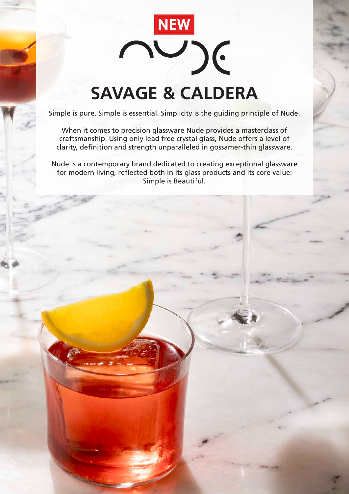

## **SAVAGE & CALDERA**

Simple is pure. Simple is essential. Simplicity is the guiding principle of Nude.

When it comes to precision glassware Nude provides a masterclass of craftsmanship. Using only lead free crystal glass, Nude offers a level of clarity, definition and strength unparalleled in gossamer-thin glassware.

Nude is a contemporary brand dedicated to creating exceptional glassware for modern living, reflected both in its glass products and its core value: Simple is Beautiful.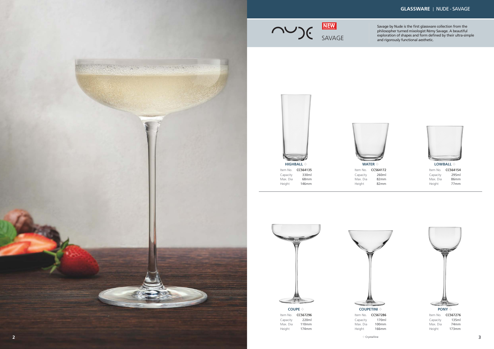Savage by Nude is the first glassware collection from the philosopher turned mixologist Rémy Savage. A beautiful exploration of shapes and form defined by their ultra-simple and rigorously functional aesthetic.



**COUPETINI**  $\diamond$ Item No. **CC567286** Capacity Max. Dia

## **GLASSWARE** | NUDE - SAVAGE

**WATER**  $\diamond$ Item No.



| LUWDALL V |                  |
|-----------|------------------|
| Item No.  | CC564154         |
| Capacity  | 295ml            |
| Max. Dia  | 86 <sub>mm</sub> |
| Height    | 77mm             |





170ml 100mm Height 166mm



Capacity Max. Dia Height 82mm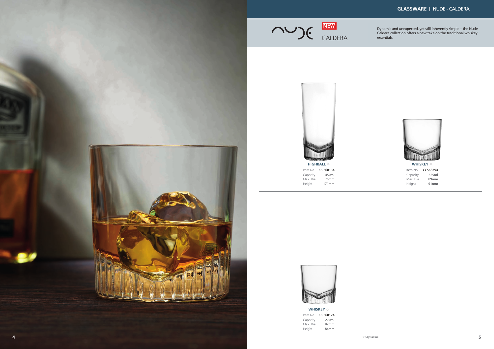

Dynamic and unexpected, yet still inherently simple – the Nude Caldera collection offers a new take on the traditional whiskey

CALDERA essentials. **NEW**

> **WHISKEY**  $\diamondsuit$ Item No. **CC568124** 270ml 82mm Capacity Max. Dia Height 84mm



Item No. **CC568134** 450ml 76mm Capacity Max. Dia<br>Height  $171mm$ 

## **GLASSWARE** | NUDE - CALDERA